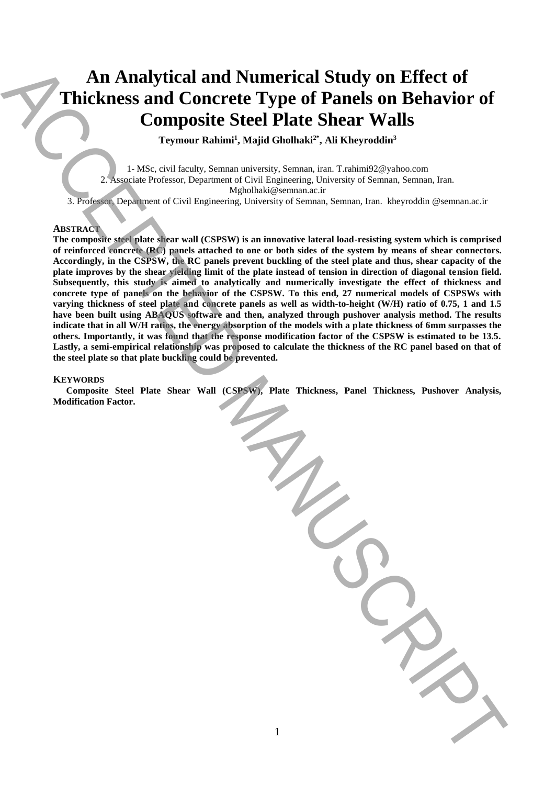# **An Analytical and Numerical Study on Effect of Thickness and Concrete Type of Panels on Behavior of Composite Steel Plate Shear Walls**

 $\text{Teymour Rahimi}$ <sup>1</sup>, Majid Gholhaki<sup>2\*</sup>, Ali Kheyroddin<sup>3</sup>

1- MSc, civil faculty, Semnan university, Semnan, iran. T.rahimi92@yahoo.com 2. Associate Professor, Department of Civil Engineering, University of Semnan, Semnan, Iran. Mgholhaki@semnan.ac.ir

3. Professor, Department of Civil Engineering, University of Semnan, Semnan, Iran. kheyroddin @semnan.ac.ir

# **ABSTRACT**

**The composite steel plate shear wall (CSPSW) is an innovative lateral load-resisting system which is comprised of reinforced concrete (RC) panels attached to one or both sides of the system by means of shear connectors. Accordingly, in the CSPSW, the RC panels prevent buckling of the steel plate and thus, shear capacity of the plate improves by the shear yielding limit of the plate instead of tension in direction of diagonal tension field. Subsequently, this study is aimed to analytically and numerically investigate the effect of thickness and concrete type of panels on the behavior of the CSPSW. To this end, 27 numerical models of CSPSWs with varying thickness of steel plate and concrete panels as well as width-to-height (W/H) ratio of 0.75, 1 and 1.5 have been built using ABAQUS software and then, analyzed through pushover analysis method. The results indicate that in all W/H ratios, the energy absorption of the models with a plate thickness of 6mm surpasses the others. Importantly, it was found that the response modification factor of the CSPSW is estimated to be 13.5. Lastly, a semi-empirical relationship was proposed to calculate the thickness of the RC panel based on that of the steel plate so that plate buckling could be prevented.** An Analytical and Numerical Study on Effect of<br>
Thickness and Concrete Type of Panels Shear Walls<br>
Transmit Raine, Willie Columbus<sup>2</sup>, All Kleymoland<br>
Transmit Raine, Willie Columbus<sup>2</sup>, All Kleymoland<br>
Transmit Raine, Wil

#### **KEYWORDS**

**Composite Steel Plate Shear Wall (CSPSW), Plate Thickness, Panel Thickness, Pushover Analysis,**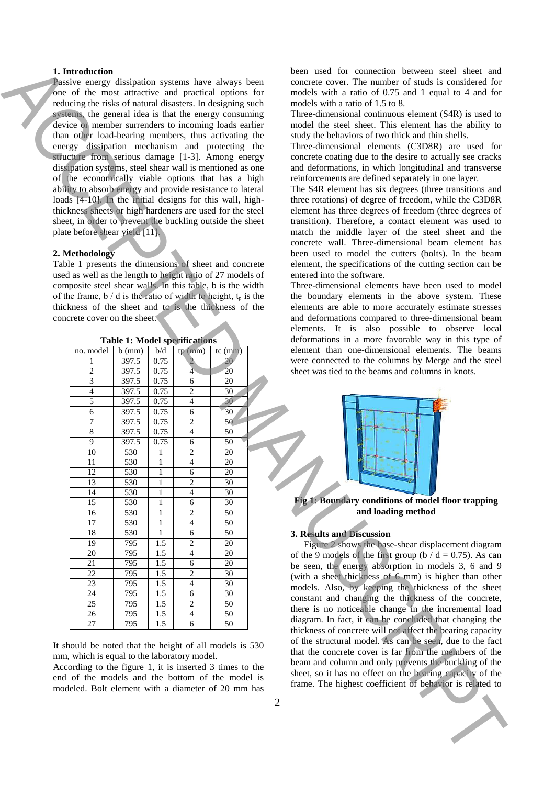# **1. Introduction**

### **2. Methodology**

| 1. Introduction<br>Passive energy dissipation systems have always been<br>one of the most attractive and practical options for<br>reducing the risks of natural disasters. In designing such<br>systems, the general idea is that the energy consuming<br>device or member surrenders to incoming loads earlier<br>than other load-bearing members, thus activating the<br>energy dissipation mechanism and protecting the<br>structure from serious damage [1-3]. Among energy<br>dissipation systems, steel shear wall is mentioned as one<br>of the economically viable options that has a high<br>ability to absorb energy and provide resistance to lateral<br>loads [4-10]. In the initial designs for this wall, high-<br>thickness sheets or high hardeners are used for the steel<br>sheet, in order to prevent the buckling outside the sheet<br>plate before shear yield [11].<br>2. Methodology<br>Table 1 presents the dimensions of sheet and concrete<br>used as well as the length to height ratio of 27 models of<br>composite steel shear walls. In this table, b is the width<br>of the frame, $b / d$ is the ratio of width to height, $t_p$ is the<br>thickness of the sheet and to is the thickness of the<br>concrete cover on the sheet. |                |                              |                                  |                       |                | been used for connection between steel sheet and<br>concrete cover. The number of studs is considered for<br>models with a ratio of 0.75 and 1 equal to 4 and for<br>models with a ratio of 1.5 to 8.<br>Three-dimensional continuous element (S4R) is used to<br>model the steel sheet. This element has the ability to<br>study the behaviors of two thick and thin shells.<br>Three-dimensional elements (C3D8R) are used for<br>concrete coating due to the desire to actually see cracks<br>and deformations, in which longitudinal and transverse<br>reinforcements are defined separately in one layer.<br>The S4R element has six degrees (three transitions and<br>three rotations) of degree of freedom, while the C3D8R<br>element has three degrees of freedom (three degrees of<br>transition). Therefore, a contact element was used to<br>match the middle layer of the steel sheet and the<br>concrete wall. Three-dimensional beam element has<br>been used to model the cutters (bolts). In the beam<br>element, the specifications of the cutting section can be<br>entered into the software.<br>Three-dimensional elements have been used to model<br>the boundary elements in the above system. These<br>elements are able to more accurately estimate stresses<br>and deformations compared to three-dimensional beam |
|------------------------------------------------------------------------------------------------------------------------------------------------------------------------------------------------------------------------------------------------------------------------------------------------------------------------------------------------------------------------------------------------------------------------------------------------------------------------------------------------------------------------------------------------------------------------------------------------------------------------------------------------------------------------------------------------------------------------------------------------------------------------------------------------------------------------------------------------------------------------------------------------------------------------------------------------------------------------------------------------------------------------------------------------------------------------------------------------------------------------------------------------------------------------------------------------------------------------------------------------------------------|----------------|------------------------------|----------------------------------|-----------------------|----------------|----------------------------------------------------------------------------------------------------------------------------------------------------------------------------------------------------------------------------------------------------------------------------------------------------------------------------------------------------------------------------------------------------------------------------------------------------------------------------------------------------------------------------------------------------------------------------------------------------------------------------------------------------------------------------------------------------------------------------------------------------------------------------------------------------------------------------------------------------------------------------------------------------------------------------------------------------------------------------------------------------------------------------------------------------------------------------------------------------------------------------------------------------------------------------------------------------------------------------------------------------------------------------------------------------------------------------------------------|
|                                                                                                                                                                                                                                                                                                                                                                                                                                                                                                                                                                                                                                                                                                                                                                                                                                                                                                                                                                                                                                                                                                                                                                                                                                                                  |                |                              |                                  |                       |                | elements. It is also possible to observe local                                                                                                                                                                                                                                                                                                                                                                                                                                                                                                                                                                                                                                                                                                                                                                                                                                                                                                                                                                                                                                                                                                                                                                                                                                                                                               |
| <b>Table 1: Model specifications</b>                                                                                                                                                                                                                                                                                                                                                                                                                                                                                                                                                                                                                                                                                                                                                                                                                                                                                                                                                                                                                                                                                                                                                                                                                             |                |                              |                                  |                       |                | deformations in a more favorable way in this type of                                                                                                                                                                                                                                                                                                                                                                                                                                                                                                                                                                                                                                                                                                                                                                                                                                                                                                                                                                                                                                                                                                                                                                                                                                                                                         |
| no. model                                                                                                                                                                                                                                                                                                                                                                                                                                                                                                                                                                                                                                                                                                                                                                                                                                                                                                                                                                                                                                                                                                                                                                                                                                                        | $b$ (mm)       | $b\}/d$                      | tp(mm)                           | $tc$ (mm)             |                | element than one-dimensional elements. The beams                                                                                                                                                                                                                                                                                                                                                                                                                                                                                                                                                                                                                                                                                                                                                                                                                                                                                                                                                                                                                                                                                                                                                                                                                                                                                             |
| 1<br>$\overline{c}$                                                                                                                                                                                                                                                                                                                                                                                                                                                                                                                                                                                                                                                                                                                                                                                                                                                                                                                                                                                                                                                                                                                                                                                                                                              | 397.5<br>397.5 | 0.75<br>0.75                 | $\overline{2}$<br>$\overline{4}$ | 20<br>20              |                | were connected to the columns by Merge and the steel<br>sheet was tied to the beams and columns in knots.                                                                                                                                                                                                                                                                                                                                                                                                                                                                                                                                                                                                                                                                                                                                                                                                                                                                                                                                                                                                                                                                                                                                                                                                                                    |
| $\overline{3}$                                                                                                                                                                                                                                                                                                                                                                                                                                                                                                                                                                                                                                                                                                                                                                                                                                                                                                                                                                                                                                                                                                                                                                                                                                                   | 397.5          | 0.75                         | 6                                | 20                    |                |                                                                                                                                                                                                                                                                                                                                                                                                                                                                                                                                                                                                                                                                                                                                                                                                                                                                                                                                                                                                                                                                                                                                                                                                                                                                                                                                              |
| 4                                                                                                                                                                                                                                                                                                                                                                                                                                                                                                                                                                                                                                                                                                                                                                                                                                                                                                                                                                                                                                                                                                                                                                                                                                                                | 397.5          | 0.75                         | $\sqrt{2}$                       | $\overline{30}$       |                |                                                                                                                                                                                                                                                                                                                                                                                                                                                                                                                                                                                                                                                                                                                                                                                                                                                                                                                                                                                                                                                                                                                                                                                                                                                                                                                                              |
| 5                                                                                                                                                                                                                                                                                                                                                                                                                                                                                                                                                                                                                                                                                                                                                                                                                                                                                                                                                                                                                                                                                                                                                                                                                                                                | 397.5          | 0.75                         | $\overline{4}$                   | 30                    |                |                                                                                                                                                                                                                                                                                                                                                                                                                                                                                                                                                                                                                                                                                                                                                                                                                                                                                                                                                                                                                                                                                                                                                                                                                                                                                                                                              |
| 6<br>$\boldsymbol{7}$                                                                                                                                                                                                                                                                                                                                                                                                                                                                                                                                                                                                                                                                                                                                                                                                                                                                                                                                                                                                                                                                                                                                                                                                                                            | 397.5<br>397.5 | 0.75<br>0.75                 | 6<br>$\sqrt{2}$                  | 30<br>50              |                |                                                                                                                                                                                                                                                                                                                                                                                                                                                                                                                                                                                                                                                                                                                                                                                                                                                                                                                                                                                                                                                                                                                                                                                                                                                                                                                                              |
| 8                                                                                                                                                                                                                                                                                                                                                                                                                                                                                                                                                                                                                                                                                                                                                                                                                                                                                                                                                                                                                                                                                                                                                                                                                                                                | 397.5          | 0.75                         | $\overline{4}$                   | 50                    |                |                                                                                                                                                                                                                                                                                                                                                                                                                                                                                                                                                                                                                                                                                                                                                                                                                                                                                                                                                                                                                                                                                                                                                                                                                                                                                                                                              |
| 9                                                                                                                                                                                                                                                                                                                                                                                                                                                                                                                                                                                                                                                                                                                                                                                                                                                                                                                                                                                                                                                                                                                                                                                                                                                                | 397.5          | 0.75                         | 6                                | 50                    |                |                                                                                                                                                                                                                                                                                                                                                                                                                                                                                                                                                                                                                                                                                                                                                                                                                                                                                                                                                                                                                                                                                                                                                                                                                                                                                                                                              |
| $\overline{10}$<br>11                                                                                                                                                                                                                                                                                                                                                                                                                                                                                                                                                                                                                                                                                                                                                                                                                                                                                                                                                                                                                                                                                                                                                                                                                                            | 530<br>530     | $\mathbf{1}$<br>$\mathbf{1}$ | $\overline{c}$                   | $\overline{20}$<br>20 |                |                                                                                                                                                                                                                                                                                                                                                                                                                                                                                                                                                                                                                                                                                                                                                                                                                                                                                                                                                                                                                                                                                                                                                                                                                                                                                                                                              |
| $\overline{12}$                                                                                                                                                                                                                                                                                                                                                                                                                                                                                                                                                                                                                                                                                                                                                                                                                                                                                                                                                                                                                                                                                                                                                                                                                                                  | 530            | 1                            | 4<br>6                           | $\overline{20}$       |                |                                                                                                                                                                                                                                                                                                                                                                                                                                                                                                                                                                                                                                                                                                                                                                                                                                                                                                                                                                                                                                                                                                                                                                                                                                                                                                                                              |
| 13                                                                                                                                                                                                                                                                                                                                                                                                                                                                                                                                                                                                                                                                                                                                                                                                                                                                                                                                                                                                                                                                                                                                                                                                                                                               | 530            | $\,1\,$                      | 2                                | 30                    |                |                                                                                                                                                                                                                                                                                                                                                                                                                                                                                                                                                                                                                                                                                                                                                                                                                                                                                                                                                                                                                                                                                                                                                                                                                                                                                                                                              |
| 14                                                                                                                                                                                                                                                                                                                                                                                                                                                                                                                                                                                                                                                                                                                                                                                                                                                                                                                                                                                                                                                                                                                                                                                                                                                               | 530            | $\mathbf{1}$                 | $\overline{4}$                   | $\overline{30}$       |                |                                                                                                                                                                                                                                                                                                                                                                                                                                                                                                                                                                                                                                                                                                                                                                                                                                                                                                                                                                                                                                                                                                                                                                                                                                                                                                                                              |
| 15                                                                                                                                                                                                                                                                                                                                                                                                                                                                                                                                                                                                                                                                                                                                                                                                                                                                                                                                                                                                                                                                                                                                                                                                                                                               | 530            | $\mathbf{1}$                 | 6                                | 30                    |                | Fig 1: Boundary conditions of model floor trapping<br>and loading method                                                                                                                                                                                                                                                                                                                                                                                                                                                                                                                                                                                                                                                                                                                                                                                                                                                                                                                                                                                                                                                                                                                                                                                                                                                                     |
| 16<br>17                                                                                                                                                                                                                                                                                                                                                                                                                                                                                                                                                                                                                                                                                                                                                                                                                                                                                                                                                                                                                                                                                                                                                                                                                                                         | 530<br>530     | $\mathbf{1}$<br>1            | 2<br>4                           | $\overline{50}$<br>50 |                |                                                                                                                                                                                                                                                                                                                                                                                                                                                                                                                                                                                                                                                                                                                                                                                                                                                                                                                                                                                                                                                                                                                                                                                                                                                                                                                                              |
| 18                                                                                                                                                                                                                                                                                                                                                                                                                                                                                                                                                                                                                                                                                                                                                                                                                                                                                                                                                                                                                                                                                                                                                                                                                                                               | 530            | 1                            | 6                                | $\overline{50}$       |                | 3. Results and Discussion                                                                                                                                                                                                                                                                                                                                                                                                                                                                                                                                                                                                                                                                                                                                                                                                                                                                                                                                                                                                                                                                                                                                                                                                                                                                                                                    |
| 19                                                                                                                                                                                                                                                                                                                                                                                                                                                                                                                                                                                                                                                                                                                                                                                                                                                                                                                                                                                                                                                                                                                                                                                                                                                               | 795            | $\overline{1.5}$             | $\overline{c}$                   | 20                    |                | Figure 2 shows the base-shear displacement diagram                                                                                                                                                                                                                                                                                                                                                                                                                                                                                                                                                                                                                                                                                                                                                                                                                                                                                                                                                                                                                                                                                                                                                                                                                                                                                           |
| 20                                                                                                                                                                                                                                                                                                                                                                                                                                                                                                                                                                                                                                                                                                                                                                                                                                                                                                                                                                                                                                                                                                                                                                                                                                                               | 795            | 1.5                          | $\overline{4}$                   | 20                    |                | of the 9 models of the first group ( $b/d = 0.75$ ). As can                                                                                                                                                                                                                                                                                                                                                                                                                                                                                                                                                                                                                                                                                                                                                                                                                                                                                                                                                                                                                                                                                                                                                                                                                                                                                  |
| 21<br>22                                                                                                                                                                                                                                                                                                                                                                                                                                                                                                                                                                                                                                                                                                                                                                                                                                                                                                                                                                                                                                                                                                                                                                                                                                                         | 795<br>795     | 1.5<br>1.5                   | 6<br>2                           | $20\,$<br>30          |                | be seen, the energy absorption in models 3, 6 and 9                                                                                                                                                                                                                                                                                                                                                                                                                                                                                                                                                                                                                                                                                                                                                                                                                                                                                                                                                                                                                                                                                                                                                                                                                                                                                          |
| 23                                                                                                                                                                                                                                                                                                                                                                                                                                                                                                                                                                                                                                                                                                                                                                                                                                                                                                                                                                                                                                                                                                                                                                                                                                                               | 795            | $1.5$                        | $\overline{4}$                   | 30                    |                | (with a sheet thickness of 6 mm) is higher than other                                                                                                                                                                                                                                                                                                                                                                                                                                                                                                                                                                                                                                                                                                                                                                                                                                                                                                                                                                                                                                                                                                                                                                                                                                                                                        |
| 24                                                                                                                                                                                                                                                                                                                                                                                                                                                                                                                                                                                                                                                                                                                                                                                                                                                                                                                                                                                                                                                                                                                                                                                                                                                               | 795            | 1.5                          | 6                                | 30                    |                | models. Also, by keeping the thickness of the sheet<br>constant and changing the thickness of the concrete,                                                                                                                                                                                                                                                                                                                                                                                                                                                                                                                                                                                                                                                                                                                                                                                                                                                                                                                                                                                                                                                                                                                                                                                                                                  |
| 25                                                                                                                                                                                                                                                                                                                                                                                                                                                                                                                                                                                                                                                                                                                                                                                                                                                                                                                                                                                                                                                                                                                                                                                                                                                               | 795            | 1.5                          | $\mathbf{2}$                     | 50                    |                | there is no noticeable change in the incremental load                                                                                                                                                                                                                                                                                                                                                                                                                                                                                                                                                                                                                                                                                                                                                                                                                                                                                                                                                                                                                                                                                                                                                                                                                                                                                        |
| 26                                                                                                                                                                                                                                                                                                                                                                                                                                                                                                                                                                                                                                                                                                                                                                                                                                                                                                                                                                                                                                                                                                                                                                                                                                                               | 795            | 1.5                          | 4                                | 50                    |                | diagram. In fact, it can be concluded that changing the                                                                                                                                                                                                                                                                                                                                                                                                                                                                                                                                                                                                                                                                                                                                                                                                                                                                                                                                                                                                                                                                                                                                                                                                                                                                                      |
| $27\,$                                                                                                                                                                                                                                                                                                                                                                                                                                                                                                                                                                                                                                                                                                                                                                                                                                                                                                                                                                                                                                                                                                                                                                                                                                                           | 795            | 1.5                          | 6                                | 50                    |                | thickness of concrete will not affect the bearing capacity                                                                                                                                                                                                                                                                                                                                                                                                                                                                                                                                                                                                                                                                                                                                                                                                                                                                                                                                                                                                                                                                                                                                                                                                                                                                                   |
| It should be noted that the height of all models is 530<br>mm, which is equal to the laboratory model.<br>According to the figure 1, it is inserted 3 times to the<br>end of the models and the bottom of the model is<br>modeled. Bolt element with a diameter of 20 mm has                                                                                                                                                                                                                                                                                                                                                                                                                                                                                                                                                                                                                                                                                                                                                                                                                                                                                                                                                                                     |                |                              |                                  |                       | $\overline{2}$ | of the structural model. As can be seen, due to the fact<br>that the concrete cover is far from the members of the<br>beam and column and only prevents the buckling of the<br>sheet, so it has no effect on the bearing capacity of the<br>frame. The highest coefficient of behavior is related to                                                                                                                                                                                                                                                                                                                                                                                                                                                                                                                                                                                                                                                                                                                                                                                                                                                                                                                                                                                                                                         |
|                                                                                                                                                                                                                                                                                                                                                                                                                                                                                                                                                                                                                                                                                                                                                                                                                                                                                                                                                                                                                                                                                                                                                                                                                                                                  |                |                              |                                  |                       |                |                                                                                                                                                                                                                                                                                                                                                                                                                                                                                                                                                                                                                                                                                                                                                                                                                                                                                                                                                                                                                                                                                                                                                                                                                                                                                                                                              |



**Fig 1: Boundary conditions of model floor trapping and loading method**

# **3. Results and Discussion**